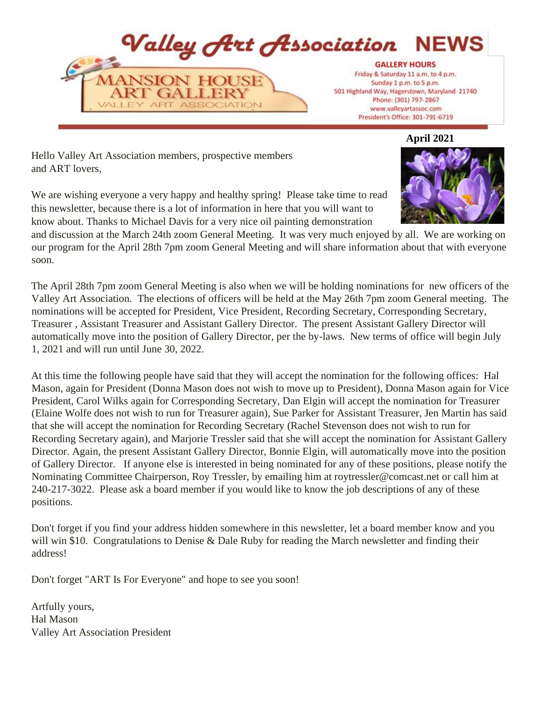

**April 2021** 

Hello Valley Art Association members, prospective members and ART lovers,

We are wishing everyone a very happy and healthy spring! Please take time to read this newsletter, because there is a lot of information in here that you will want to know about. Thanks to Michael Davis for a very nice oil painting demonstration



and discussion at the March 24th zoom General Meeting. It was very much enjoyed by all. We are working on our program for the April 28th 7pm zoom General Meeting and will share information about that with everyone soon.

The April 28th 7pm zoom General Meeting is also when we will be holding nominations for new officers of the Valley Art Association. The elections of officers will be held at the May 26th 7pm zoom General meeting. The nominations will be accepted for President, Vice President, Recording Secretary, Corresponding Secretary, Treasurer , Assistant Treasurer and Assistant Gallery Director. The present Assistant Gallery Director will automatically move into the position of Gallery Director, per the by-laws. New terms of office will begin July 1, 2021 and will run until June 30, 2022.

At this time the following people have said that they will accept the nomination for the following offices: Hal Mason, again for President (Donna Mason does not wish to move up to President), Donna Mason again for Vice President, Carol Wilks again for Corresponding Secretary, Dan Elgin will accept the nomination for Treasurer (Elaine Wolfe does not wish to run for Treasurer again), Sue Parker for Assistant Treasurer, Jen Martin has said that she will accept the nomination for Recording Secretary (Rachel Stevenson does not wish to run for Recording Secretary again), and Marjorie Tressler said that she will accept the nomination for Assistant Gallery Director. Again, the present Assistant Gallery Director, Bonnie Elgin, will automatically move into the position of Gallery Director. If anyone else is interested in being nominated for any of these positions, please notify the Nominating Committee Chairperson, Roy Tressler, by emailing him at roytressler@comcast.net or call him at 240-217-3022. Please ask a board member if you would like to know the job descriptions of any of these positions.

Don't forget if you find your address hidden somewhere in this newsletter, let a board member know and you will win \$10. Congratulations to Denise & Dale Ruby for reading the March newsletter and finding their address!

Don't forget "ART Is For Everyone" and hope to see you soon!

Artfully yours, Hal Mason Valley Art Association President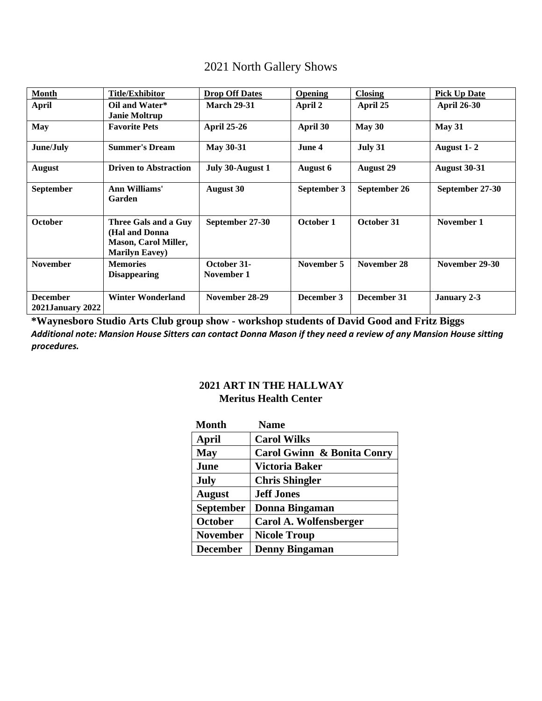|  |  | 2021 North Gallery Shows |  |
|--|--|--------------------------|--|
|--|--|--------------------------|--|

| <b>Month</b>                               | <b>Title/Exhibitor</b>                                                                          | <b>Drop Off Dates</b>     | <b>Opening</b> | <b>Closing</b>   | <b>Pick Up Date</b> |
|--------------------------------------------|-------------------------------------------------------------------------------------------------|---------------------------|----------------|------------------|---------------------|
| <b>April</b>                               | Oil and Water*<br><b>Janie Moltrup</b>                                                          | <b>March 29-31</b>        | April 2        | April 25         | <b>April 26-30</b>  |
| <b>May</b>                                 | <b>Favorite Pets</b>                                                                            | <b>April 25-26</b>        | April 30       | May 30           | May 31              |
| June/July                                  | <b>Summer's Dream</b>                                                                           | <b>May 30-31</b>          | June 4         | July 31          | August 1-2          |
| August                                     | <b>Driven to Abstraction</b>                                                                    | July 30-August 1          | August 6       | <b>August 29</b> | <b>August 30-31</b> |
| <b>September</b>                           | Ann Williams'<br>Garden                                                                         | <b>August 30</b>          | September 3    | September 26     | September 27-30     |
| <b>October</b>                             | Three Gals and a Guy<br>(Hal and Donna<br><b>Mason, Carol Miller,</b><br><b>Marilyn Eavey</b> ) | September 27-30           | October 1      | October 31       | November 1          |
| <b>November</b>                            | <b>Memories</b><br><b>Disappearing</b>                                                          | October 31-<br>November 1 | November 5     | November 28      | November 29-30      |
| <b>December</b><br><b>2021January 2022</b> | <b>Winter Wonderland</b>                                                                        | November 28-29            | December 3     | December 31      | January 2-3         |

**\*Waynesboro Studio Arts Club group show - workshop students of David Good and Fritz Biggs**  *Additional note: Mansion House Sitters can contact Donna Mason if they need a review of any Mansion House sitting procedures.*

# **2021 ART IN THE HALLWAY Meritus Health Center**

| <b>Month</b>     | <b>Name</b>                |
|------------------|----------------------------|
| April            | <b>Carol Wilks</b>         |
| <b>May</b>       | Carol Gwinn & Bonita Conry |
| June             | Victoria Baker             |
| <b>July</b>      | <b>Chris Shingler</b>      |
| <b>August</b>    | <b>Jeff Jones</b>          |
| <b>September</b> | <b>Donna Bingaman</b>      |
| October          | Carol A. Wolfensberger     |
| <b>November</b>  | <b>Nicole Troup</b>        |
| <b>December</b>  | <b>Denny Bingaman</b>      |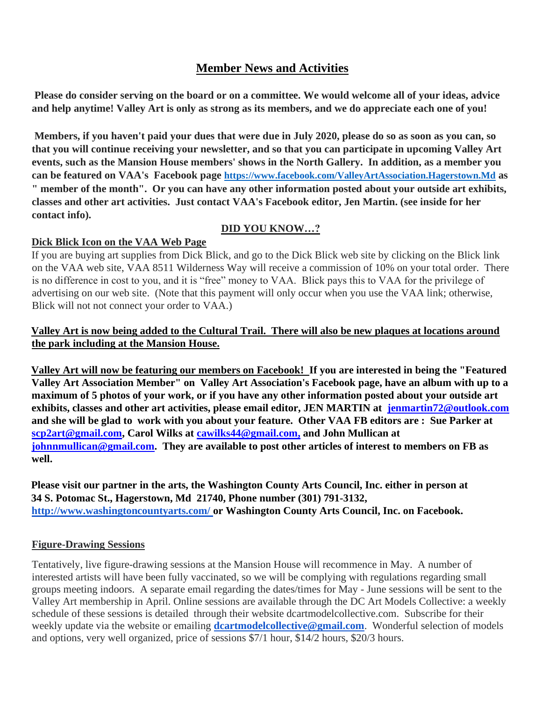# **Member News and Activities**

**Please do consider serving on the board or on a committee. We would welcome all of your ideas, advice and help anytime! Valley Art is only as strong as its members, and we do appreciate each one of you!** 

**Members, if you haven't paid your dues that were due in July 2020, please do so as soon as you can, so that you will continue receiving your newsletter, and so that you can participate in upcoming Valley Art events, such as the Mansion House members' shows in the North Gallery. In addition, as a member you can be featured on VAA's Facebook page https://www.facebook.com/ValleyArtAssociation.Hagerstown.Md as " member of the month". Or you can have any other information posted about your outside art exhibits, classes and other art activities. Just contact VAA's Facebook editor, Jen Martin. (see inside for her contact info).** 

#### **DID YOU KNOW…?**

#### **Dick Blick Icon on the VAA Web Page**

If you are buying art supplies from Dick Blick, and go to the Dick Blick web site by clicking on the Blick link on the VAA web site, VAA 8511 Wilderness Way will receive a commission of 10% on your total order. There is no difference in cost to you, and it is "free" money to VAA. Blick pays this to VAA for the privilege of advertising on our web site. (Note that this payment will only occur when you use the VAA link; otherwise, Blick will not not connect your order to VAA.)

### **Valley Art is now being added to the Cultural Trail. There will also be new plaques at locations around the park including at the Mansion House.**

**Valley Art will now be featuring our members on Facebook! If you are interested in being the "Featured Valley Art Association Member" on Valley Art Association's Facebook page, have an album with up to a maximum of 5 photos of your work, or if you have any other information posted about your outside art exhibits, classes and other art activities, please email editor, JEN MARTIN at jenmartin72@outlook.com and she will be glad to work with you about your feature. Other VAA FB editors are : Sue Parker at scp2art@gmail.com, Carol Wilks at cawilks44@gmail.com, and John Mullican at johnnmullican@gmail.com. They are available to post other articles of interest to members on FB as well.** 

**Please visit our partner in the arts, the Washington County Arts Council, Inc. either in person at 34 S. Potomac St., Hagerstown, Md 21740, Phone number (301) 791-3132, <http://www.washingtoncountyarts.com/> [o](http://www.washingtoncountyarts.com/)r Washington County Arts Council, Inc. on Facebook.** 

### **Figure-Drawing Sessions**

Tentatively, live figure-drawing sessions at the Mansion House will recommence in May. A number of interested artists will have been fully vaccinated, so we will be complying with regulations regarding small groups meeting indoors. A separate email regarding the dates/times for May - June sessions will be sent to the Valley Art membership in April. Online sessions are available through the DC Art Models Collective: a weekly schedule of these sessions is detailed through their website dcartmodelcollective.com. Subscribe for their weekly update via the website or emailing **dcartmodelcollective@gmail.com**. Wonderful selection of models and options, very well organized, price of sessions \$7/1 hour, \$14/2 hours, \$20/3 hours.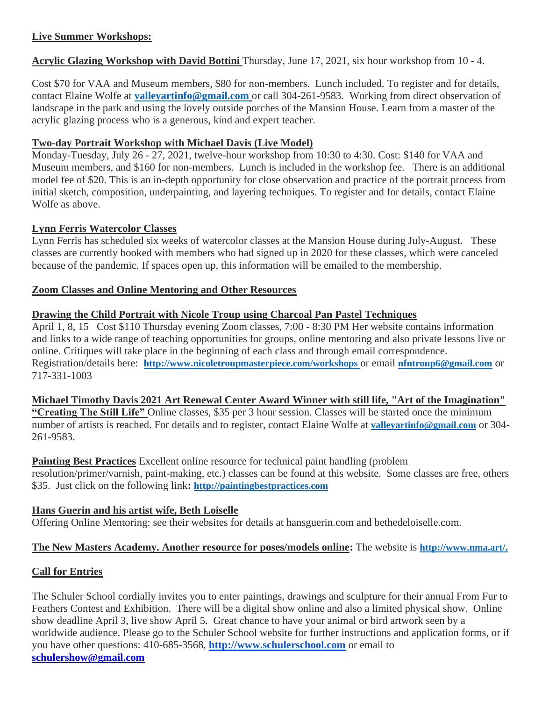### **Live Summer Workshops:**

**Acrylic Glazing Workshop with David Bottini** Thursday, June 17, 2021, six hour workshop from 10 - 4.

Cost \$70 for VAA and Museum members, \$80 for non-members. Lunch included. To register and for details, contact Elaine Wolfe at **[valleyartinfo@gmail.com](mailto:valleyartinfo@gmail.com)** or call 304-261-9583. Working from direct observation of landscape in the park and using the lovely outside porches of the Mansion House. Learn from a master of the acrylic glazing process who is a generous, kind and expert teacher.

### **Two-day Portrait Workshop with Michael Davis (Live Model)**

Monday-Tuesday, July 26 - 27, 2021, twelve-hour workshop from 10:30 to 4:30. Cost: \$140 for VAA and Museum members, and \$160 for non-members. Lunch is included in the workshop fee. There is an additional model fee of \$20. This is an in-depth opportunity for close observation and practice of the portrait process from initial sketch, composition, underpainting, and layering techniques. To register and for details, contact Elaine Wolfe as above.

### **Lynn Ferris Watercolor Classes**

Lynn Ferris has scheduled six weeks of watercolor classes at the Mansion House during July-August. These classes are currently booked with members who had signed up in 2020 for these classes, which were canceled because of the pandemic. If spaces open up, this information will be emailed to the membership.

### **Zoom Classes and Online Mentoring and Other Resources**

### **Drawing the Child Portrait with Nicole Troup using Charcoal Pan Pastel Techniques**

April 1, 8, 15 Cost \$110 Thursday evening Zoom classes, 7:00 - 8:30 PM Her website contains information and links to a wide range of teaching opportunities for groups, online mentoring and also private lessons live or online. Critiques will take place in the beginning of each class and through email correspondence. Registration/details here: **<http://www.nicoletroupmasterpiece.com/workshops>** or email **nfntroup6@gmail.com** or 717-331-1003

**Michael Timothy Davis 2021 Art Renewal Center Award Winner with still life, "Art of the Imagination" "Creating The Still Life"** Online classes, \$35 per 3 hour session. Classes will be started once the minimum number of artists is reached. For details and to register, contact Elaine Wolfe at **valleyartinfo@gmail.com** or 304- 261-9583.

**Painting Best Practices** Excellent online resource for technical paint handling (problem resolution/primer/varnish, paint-making, etc.) classes can be found at this website. Some classes are free, others \$35. Just click on the following link**: http://paintingbestpractices.com**

# **Hans Guerin and his artist wife, Beth Loiselle**

Offering Online Mentoring: see their websites for details at hansguerin.com and bethedeloiselle.com.

# **The New Masters Academy. Another resource for poses/models online:** The website is **http://www.nma.art/.**

# **Call for Entries**

The Schuler School cordially invites you to enter paintings, drawings and sculpture for their annual From Fur to Feathers Contest and Exhibition. There will be a digital show online and also a limited physical show. Online show deadline April 3, live show April 5. Great chance to have your animal or bird artwork seen by a worldwide audience. Please go to the Schuler School website for further instructions and application forms, or if you have other questions: 410-685-3568, **http://www.schulerschool.com** or email to **schulershow@gmail.com**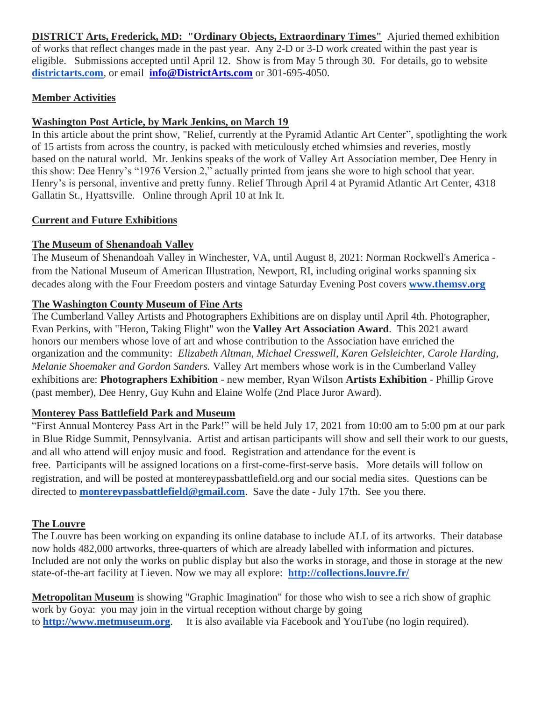**DISTRICT Arts, Frederick, MD: "Ordinary Objects, Extraordinary Times"** Ajuried themed exhibition of works that reflect changes made in the past year. Any 2-D or 3-D work created within the past year is eligible. Submissions accepted until April 12. Show is from May 5 through 30. For details, go to website **districtarts.com**, or email **info@DistrictArts.com** or 301-695-4050.

### **Member Activities**

### **Washington Post Article, by Mark Jenkins, on March 19**

In this article about the print show, "Relief, currently at the Pyramid Atlantic Art Center", spotlighting the work of 15 artists from across the country, is packed with meticulously etched whimsies and reveries, mostly based on the natural world. Mr. Jenkins speaks of the work of Valley Art Association member, Dee Henry in this show: Dee Henry's "1976 Version 2," actually printed from jeans she wore to high school that year. Henry's is personal, inventive and pretty funny. Relief Through April 4 at Pyramid Atlantic Art Center, 4318 Gallatin St., Hyattsville. Online through April 10 at Ink It.

### **Current and Future Exhibitions**

# **The Museum of Shenandoah Valley**

The Museum of Shenandoah Valley in Winchester, VA, until August 8, 2021: Norman Rockwell's America from the National Museum of American Illustration, Newport, RI, including original works spanning six decades along with the Four Freedom posters and vintage Saturday Evening Post covers **www.themsv.org**

### **The Washington County Museum of Fine Arts**

The Cumberland Valley Artists and Photographers Exhibitions are on display until April 4th. Photographer, Evan Perkins, with "Heron, Taking Flight" won the **Valley Art Association Award**. This 2021 award honors our members whose love of art and whose contribution to the Association have enriched the organization and the community: *Elizabeth Altman, Michael Cresswell, Karen Gelsleichter, Carole Harding, Melanie Shoemaker and Gordon Sanders.* Valley Art members whose work is in the Cumberland Valley exhibitions are: **Photographers Exhibition** - new member, Ryan Wilson **Artists Exhibition** - Phillip Grove (past member), Dee Henry, Guy Kuhn and Elaine Wolfe (2nd Place Juror Award).

# **Monterey Pass Battlefield Park and Museum**

"First Annual Monterey Pass Art in the Park!" will be held July 17, 2021 from 10:00 am to 5:00 pm at our park in Blue Ridge Summit, Pennsylvania. Artist and artisan participants will show and sell their work to our guests, and all who attend will enjoy music and food. Registration and attendance for the event is free. Participants will be assigned locations on a first-come-first-serve basis. More details will follow on registration, and will be posted at [montereypassbattlefield.org](http://montereypassbattlefield.org/) and our social media sites. Questions can be directed to **[montereypassbattlefield@gmail.com](mailto:montereypassbattlefield@gmail.com)**. Save the date - July 17th. See you there.

### **The Louvre**

The Louvre has been working on expanding its online database to include ALL of its artworks. Their database now holds 482,000 artworks, three-quarters of which are already labelled with information and pictures. Included are not only the works on public display but also the works in storage, and those in storage at the new state-of-the-art facility at Lieven. Now we may all explore: **http://collections.louvre.fr/**

**Metropolitan Museum** is showing "Graphic Imagination" for those who wish to see a rich show of graphic work by Goya: you may join in the virtual reception without charge by going to **[http://www.metmuseum.org](http://www.metmuseum.org./)**. It is also available via Facebook and YouTube (no login required).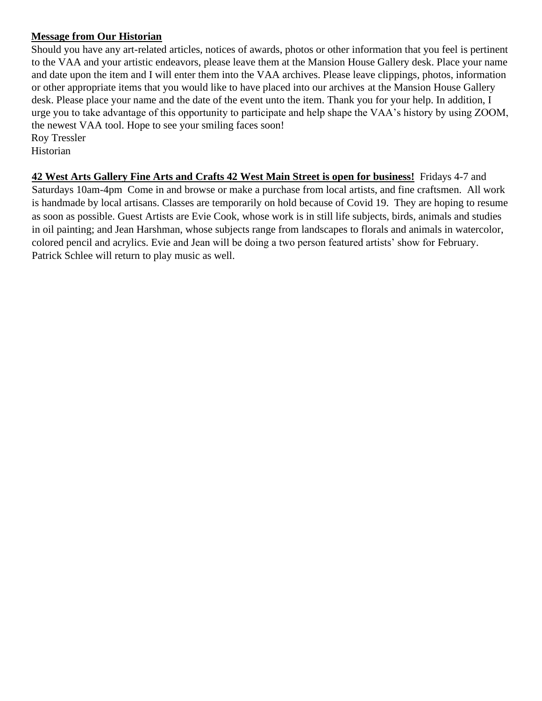### **Message from Our Historian**

Should you have any art-related articles, notices of awards, photos or other information that you feel is pertinent to the VAA and your artistic endeavors, please leave them at the Mansion House Gallery desk. Place your name and date upon the item and I will enter them into the VAA archives. Please leave clippings, photos, information or other appropriate items that you would like to have placed into our archives at the Mansion House Gallery desk. Please place your name and the date of the event unto the item. Thank you for your help. In addition, I urge you to take advantage of this opportunity to participate and help shape the VAA's history by using ZOOM, the newest VAA tool. Hope to see your smiling faces soon! Roy Tressler

Historian

**42 West Arts Gallery Fine Arts and Crafts 42 West Main Street is open for business!** Fridays 4-7 and Saturdays 10am-4pm Come in and browse or make a purchase from local artists, and fine craftsmen. All work is handmade by local artisans. Classes are temporarily on hold because of Covid 19. They are hoping to resume as soon as possible. Guest Artists are Evie Cook, whose work is in still life subjects, birds, animals and studies in oil painting; and Jean Harshman, whose subjects range from landscapes to florals and animals in watercolor, colored pencil and acrylics. Evie and Jean will be doing a two person featured artists' show for February. Patrick Schlee will return to play music as well.